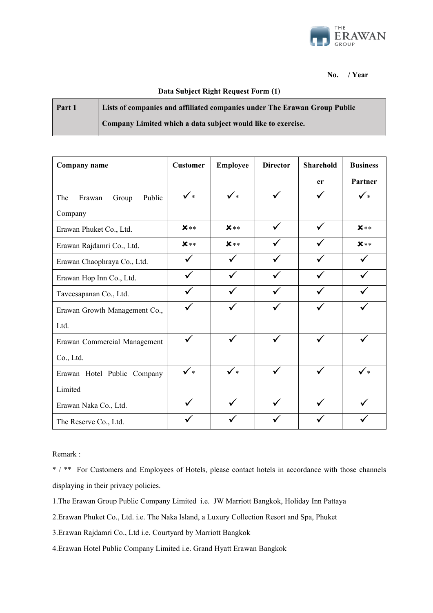

**No. / Year** 

## **Data Subject Right Request Form (1)**

| Part 1 | Lists of companies and affiliated companies under The Erawan Group Public |
|--------|---------------------------------------------------------------------------|
|        | Company Limited which a data subject would like to exercise.              |

| Company name                     | <b>Customer</b> | <b>Employee</b> | <b>Director</b> | <b>Sharehold</b> | <b>Business</b> |
|----------------------------------|-----------------|-----------------|-----------------|------------------|-----------------|
|                                  |                 |                 |                 | er               | Partner         |
| Public<br>The<br>Erawan<br>Group | $\checkmark$    | $\checkmark$    |                 |                  | $\checkmark$    |
| Company                          |                 |                 |                 |                  |                 |
| Erawan Phuket Co., Ltd.          | $\mathbf{x}**$  | $x**$           |                 |                  | $x**$           |
| Erawan Rajdamri Co., Ltd.        | $x**$           | $x**$           |                 |                  | $x**$           |
| Erawan Chaophraya Co., Ltd.      |                 |                 |                 |                  |                 |
| Erawan Hop Inn Co., Ltd.         |                 |                 |                 |                  |                 |
| Taveesapanan Co., Ltd.           |                 |                 |                 |                  |                 |
| Erawan Growth Management Co.,    |                 |                 |                 |                  |                 |
| Ltd.                             |                 |                 |                 |                  |                 |
| Erawan Commercial Management     | $\checkmark$    | ✓               |                 |                  |                 |
| Co., Ltd.                        |                 |                 |                 |                  |                 |
| Erawan Hotel Public Company      | $\checkmark$    | $\checkmark$    |                 |                  | ✓∗              |
| Limited                          |                 |                 |                 |                  |                 |
| Erawan Naka Co., Ltd.            |                 |                 |                 |                  |                 |
| The Reserve Co., Ltd.            |                 |                 |                 |                  |                 |

Remark :

\* / \*\* For Customers and Employees of Hotels, please contact hotels in accordance with those channels displaying in their privacy policies.

- 1.The Erawan Group Public Company Limited i.e. JW Marriott Bangkok, Holiday Inn Pattaya
- 2.Erawan Phuket Co., Ltd. i.e. The Naka Island, a Luxury Collection Resort and Spa, Phuket

3.Erawan Rajdamri Co., Ltd i.e. Courtyard by Marriott Bangkok

4.Erawan Hotel Public Company Limited i.e. Grand Hyatt Erawan Bangkok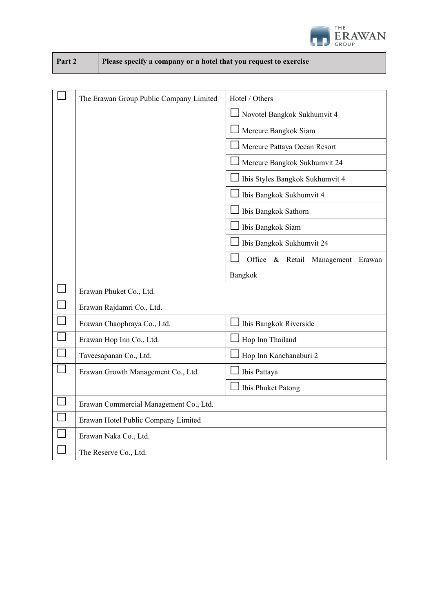

| Part 2 | Please specify a company or a hotel that you request to exercise |
|--------|------------------------------------------------------------------|
|--------|------------------------------------------------------------------|

|        | The Erawan Group Public Company Limited | Hotel / Others                    |  |
|--------|-----------------------------------------|-----------------------------------|--|
|        |                                         | Novotel Bangkok Sukhumvit 4       |  |
|        |                                         | Mercure Bangkok Siam              |  |
|        |                                         | Mercure Pattaya Ocean Resort      |  |
|        |                                         | Mercure Bangkok Sukhumvit 24      |  |
|        |                                         | Ibis Styles Bangkok Sukhumvit 4   |  |
|        |                                         | Ibis Bangkok Sukhumvit 4          |  |
|        |                                         | Ibis Bangkok Sathorn              |  |
|        |                                         | Ibis Bangkok Siam                 |  |
|        |                                         | Ibis Bangkok Sukhumvit 24         |  |
|        |                                         | Office & Retail Management Erawan |  |
|        |                                         | Bangkok                           |  |
|        | Erawan Phuket Co., Ltd.                 |                                   |  |
|        | Erawan Rajdamri Co., Ltd.               |                                   |  |
|        | Erawan Chaophraya Co., Ltd.             | Ibis Bangkok Riverside            |  |
|        | Erawan Hop Inn Co., Ltd.                | Hop Inn Thailand                  |  |
| $\Box$ | Taveesapanan Co., Ltd.                  | Hop Inn Kanchanaburi 2            |  |
|        | Erawan Growth Management Co., Ltd.      | Ibis Pattaya                      |  |
|        |                                         | Ibis Phuket Patong                |  |
|        | Erawan Commercial Management Co., Ltd.  |                                   |  |
|        | Erawan Hotel Public Company Limited     |                                   |  |
|        | Erawan Naka Co., Ltd.                   |                                   |  |
|        | The Reserve Co., Ltd.                   |                                   |  |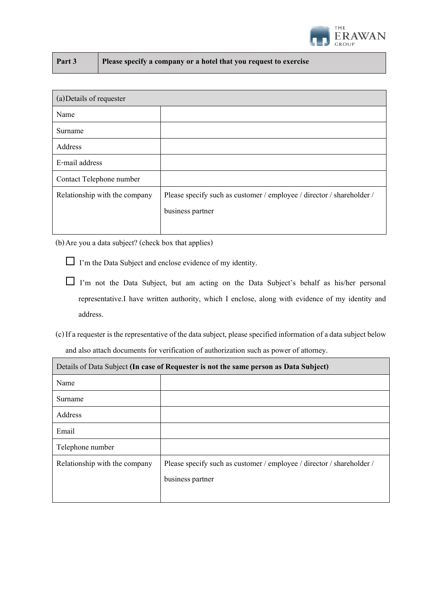

| Part 3 | Please specify a company or a hotel that you request to exercise |
|--------|------------------------------------------------------------------|
|--------|------------------------------------------------------------------|

| (a) Details of requester      |                                                                       |  |  |
|-------------------------------|-----------------------------------------------------------------------|--|--|
| Name                          |                                                                       |  |  |
| Surname                       |                                                                       |  |  |
| Address                       |                                                                       |  |  |
| E-mail address                |                                                                       |  |  |
| Contact Telephone number      |                                                                       |  |  |
| Relationship with the company | Please specify such as customer / employee / director / shareholder / |  |  |
|                               | business partner                                                      |  |  |
|                               |                                                                       |  |  |

(b)Are you a data subject? (check box that applies)

- I'm the Data Subject and enclose evidence of my identity.
- I'm not the Data Subject, but am acting on the Data Subject's behalf as his/her personal representative.I have written authority, which I enclose, along with evidence of my identity and address.
- (c) If a requester is the representative of the data subject, please specified information of a data subject below and also attach documents for verification of authorization such as power of attorney.

| Details of Data Subject (In case of Requester is not the same person as Data Subject) |                                                                       |  |  |
|---------------------------------------------------------------------------------------|-----------------------------------------------------------------------|--|--|
| Name                                                                                  |                                                                       |  |  |
| Surname                                                                               |                                                                       |  |  |
| Address                                                                               |                                                                       |  |  |
| Email                                                                                 |                                                                       |  |  |
| Telephone number                                                                      |                                                                       |  |  |
| Relationship with the company                                                         | Please specify such as customer / employee / director / shareholder / |  |  |
|                                                                                       | business partner                                                      |  |  |
|                                                                                       |                                                                       |  |  |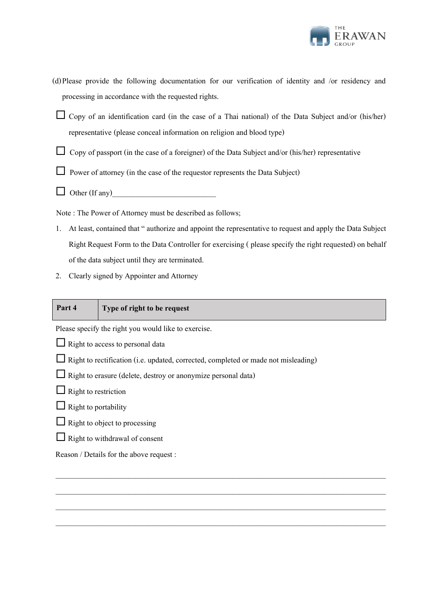

- (d)Please provide the following documentation for our verification of identity and /or residency and processing in accordance with the requested rights.
- Copy of an identification card (in the case of a Thai national) of the Data Subject and/or (his/her) representative (please conceal information on religion and blood type)
- $\Box$  Copy of passport (in the case of a foreigner) of the Data Subject and/or (his/her) representative
- $\Box$  Power of attorney (in the case of the requestor represents the Data Subject)
- $\Box$  Other (If any)

Note : The Power of Attorney must be described as follows;

1. At least, contained that " authorize and appoint the representative to request and apply the Data Subject Right Request Form to the Data Controller for exercising ( please specify the right requested) on behalf of the data subject until they are terminated.

\_\_\_\_\_\_\_\_\_\_\_\_\_\_\_\_\_\_\_\_\_\_\_\_\_\_\_\_\_\_\_\_\_\_\_\_\_\_\_\_\_\_\_\_\_\_\_\_\_\_\_\_\_\_\_\_\_\_\_\_\_\_\_\_\_\_\_\_\_\_\_\_\_\_\_\_\_\_\_\_\_\_\_\_\_\_

 $\_$  , and the set of the set of the set of the set of the set of the set of the set of the set of the set of the set of the set of the set of the set of the set of the set of the set of the set of the set of the set of th

 $\_$  , and the set of the set of the set of the set of the set of the set of the set of the set of the set of the set of the set of the set of the set of the set of the set of the set of the set of the set of the set of th

\_\_\_\_\_\_\_\_\_\_\_\_\_\_\_\_\_\_\_\_\_\_\_\_\_\_\_\_\_\_\_\_\_\_\_\_\_\_\_\_\_\_\_\_\_\_\_\_\_\_\_\_\_\_\_\_\_\_\_\_\_\_\_\_\_\_\_\_\_\_\_\_\_\_\_\_\_\_\_\_\_\_\_\_\_\_

2. Clearly signed by Appointer and Attorney

## **Part 4 Type of right to be request**

Please specify the right you would like to exercise.

- $\Box$  Right to access to personal data
- $\Box$  Right to rectification (i.e. updated, corrected, completed or made not misleading)
- $\Box$  Right to erasure (delete, destroy or anonymize personal data)
- $\Box$  Right to restriction
- $\Box$  Right to portability
- $\Box$  Right to object to processing
- $\Box$  Right to withdrawal of consent

Reason / Details for the above request :